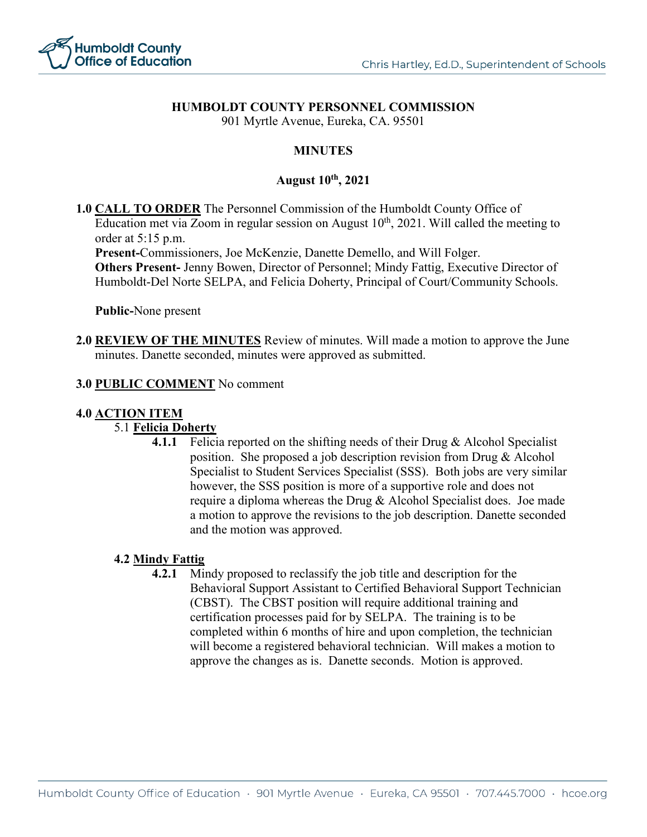

# **HUMBOLDT COUNTY PERSONNEL COMMISSION**

901 Myrtle Avenue, Eureka, CA. 95501

# **MINUTES**

## **August 10th, 2021**

**1.0 CALL TO ORDER** The Personnel Commission of the Humboldt County Office of Education met via Zoom in regular session on August  $10<sup>th</sup>$ , 2021. Will called the meeting to order at 5:15 p.m.

**Present-**Commissioners, Joe McKenzie, Danette Demello, and Will Folger.

**Others Present-** Jenny Bowen, Director of Personnel; Mindy Fattig, Executive Director of Humboldt-Del Norte SELPA, and Felicia Doherty, Principal of Court/Community Schools.

**Public-**None present

**2.0 REVIEW OF THE MINUTES** Review of minutes. Will made a motion to approve the June minutes. Danette seconded, minutes were approved as submitted.

#### **3.0 PUBLIC COMMENT** No comment

### **4.0 ACTION ITEM**

## 5.1 **Felicia Doherty**

**4.1.1** Felicia reported on the shifting needs of their Drug & Alcohol Specialist position. She proposed a job description revision from Drug & Alcohol Specialist to Student Services Specialist (SSS). Both jobs are very similar however, the SSS position is more of a supportive role and does not require a diploma whereas the Drug & Alcohol Specialist does. Joe made a motion to approve the revisions to the job description. Danette seconded and the motion was approved.

### **4.2 Mindy Fattig**

**4.2.1** Mindy proposed to reclassify the job title and description for the Behavioral Support Assistant to Certified Behavioral Support Technician (CBST). The CBST position will require additional training and certification processes paid for by SELPA. The training is to be completed within 6 months of hire and upon completion, the technician will become a registered behavioral technician. Will makes a motion to approve the changes as is. Danette seconds. Motion is approved.